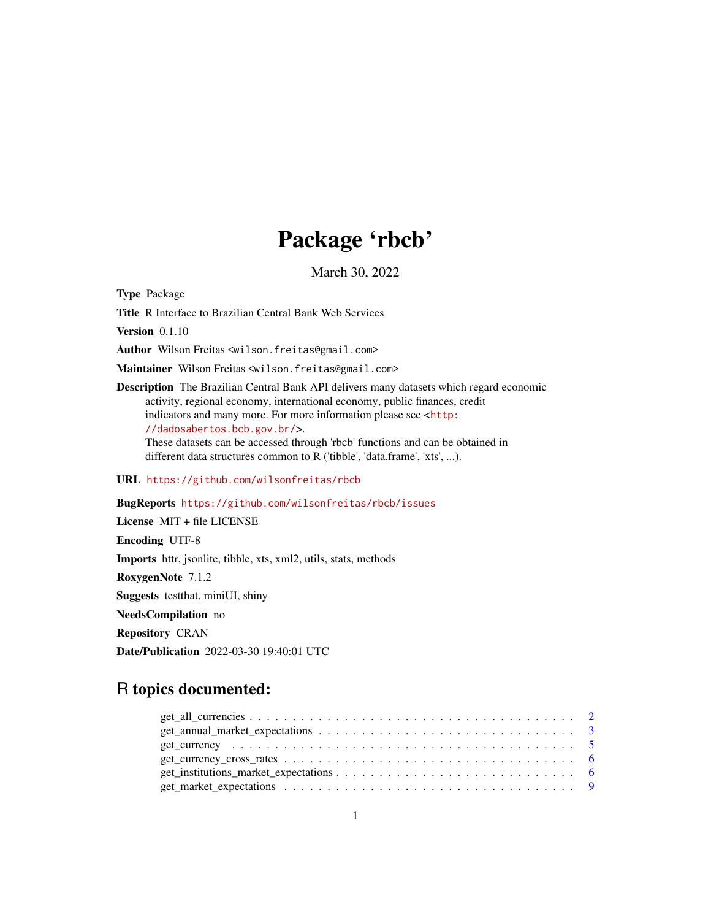# Package 'rbcb'

March 30, 2022

Type Package

Title R Interface to Brazilian Central Bank Web Services

Version 0.1.10

Author Wilson Freitas <wilson.freitas@gmail.com>

Maintainer Wilson Freitas <wilson.freitas@gmail.com>

Description The Brazilian Central Bank API delivers many datasets which regard economic activity, regional economy, international economy, public finances, credit indicators and many more. For more information please see <[http:](http://dadosabertos.bcb.gov.br/) [//dadosabertos.bcb.gov.br/](http://dadosabertos.bcb.gov.br/)>. These datasets can be accessed through 'rbcb' functions and can be obtained in different data structures common to R ('tibble', 'data.frame', 'xts', ...).

URL <https://github.com/wilsonfreitas/rbcb>

#### BugReports <https://github.com/wilsonfreitas/rbcb/issues>

License MIT + file LICENSE Encoding UTF-8 Imports httr, jsonlite, tibble, xts, xml2, utils, stats, methods RoxygenNote 7.1.2 Suggests testthat, miniUI, shiny NeedsCompilation no Repository CRAN Date/Publication 2022-03-30 19:40:01 UTC

## R topics documented: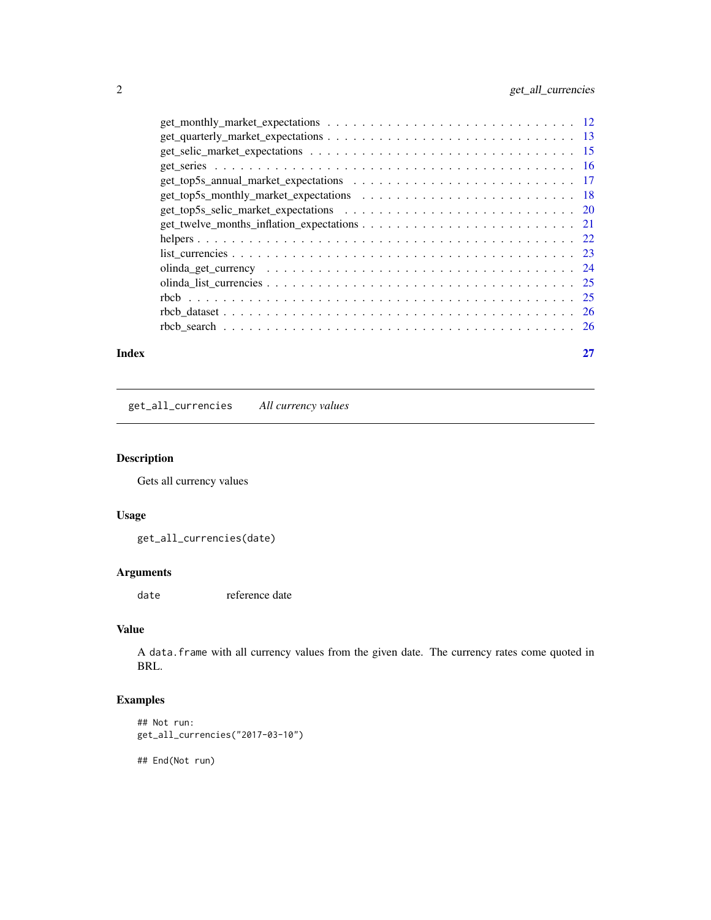<span id="page-1-0"></span>

| Index |                                                                                                                                        |  |
|-------|----------------------------------------------------------------------------------------------------------------------------------------|--|
|       |                                                                                                                                        |  |
|       |                                                                                                                                        |  |
|       |                                                                                                                                        |  |
|       |                                                                                                                                        |  |
|       |                                                                                                                                        |  |
|       |                                                                                                                                        |  |
|       |                                                                                                                                        |  |
|       |                                                                                                                                        |  |
|       |                                                                                                                                        |  |
|       |                                                                                                                                        |  |
|       |                                                                                                                                        |  |
|       |                                                                                                                                        |  |
|       |                                                                                                                                        |  |
|       | $get\_quarterly\_market\_expectations \dots \dots \dots \dots \dots \dots \dots \dots \dots \dots \dots \dots \dots \dots \dots \dots$ |  |
|       |                                                                                                                                        |  |

get\_all\_currencies *All currency values*

#### Description

Gets all currency values

#### Usage

get\_all\_currencies(date)

#### Arguments

date reference date

#### Value

A data.frame with all currency values from the given date. The currency rates come quoted in BRL.

#### Examples

```
## Not run:
get_all_currencies("2017-03-10")
```
## End(Not run)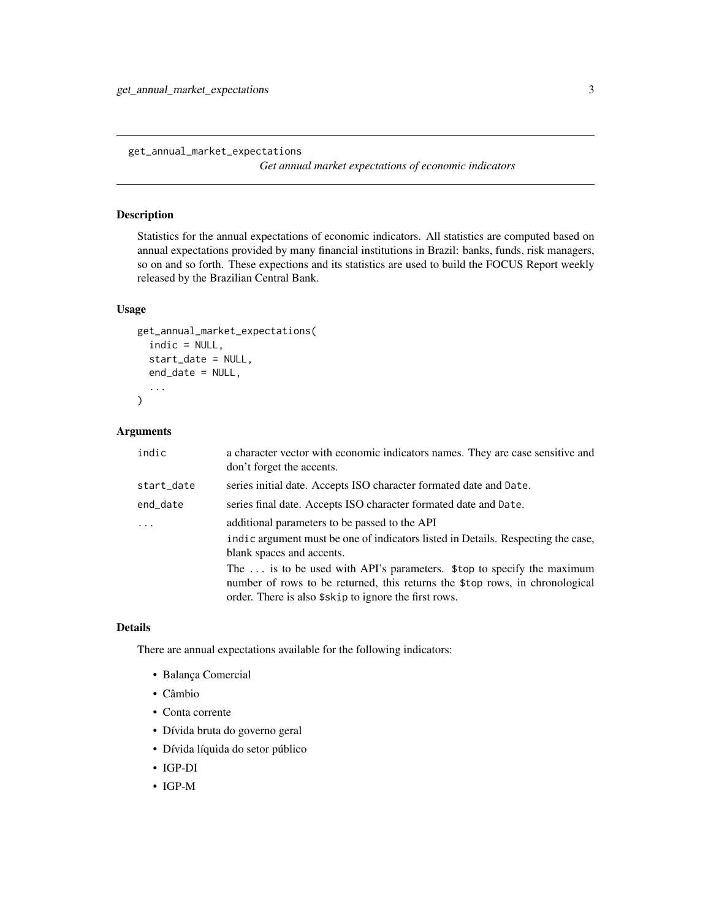<span id="page-2-0"></span>get\_annual\_market\_expectations

*Get annual market expectations of economic indicators*

#### Description

Statistics for the annual expectations of economic indicators. All statistics are computed based on annual expectations provided by many financial institutions in Brazil: banks, funds, risk managers, so on and so forth. These expections and its statistics are used to build the FOCUS Report weekly released by the Brazilian Central Bank.

#### Usage

```
get_annual_market_expectations(
  indic = NULL,
  start_date = NULL,
  end_date = NULL,
  ...
)
```
#### Arguments

| indic      | a character vector with economic indicators names. They are case sensitive and<br>don't forget the accents.                                                                                                     |
|------------|-----------------------------------------------------------------------------------------------------------------------------------------------------------------------------------------------------------------|
| start_date | series initial date. Accepts ISO character formated date and Date.                                                                                                                                              |
| end_date   | series final date. Accepts ISO character formated date and Date.                                                                                                                                                |
| .          | additional parameters to be passed to the API                                                                                                                                                                   |
|            | indic argument must be one of indicators listed in Details. Respecting the case,<br>blank spaces and accents.                                                                                                   |
|            | The  is to be used with API's parameters. \$top to specify the maximum<br>number of rows to be returned, this returns the \$top rows, in chronological<br>order. There is also \$skip to ignore the first rows. |

#### Details

There are annual expectations available for the following indicators:

- Balança Comercial
- Câmbio
- Conta corrente
- Dívida bruta do governo geral
- Dívida líquida do setor público
- IGP-DI
- IGP-M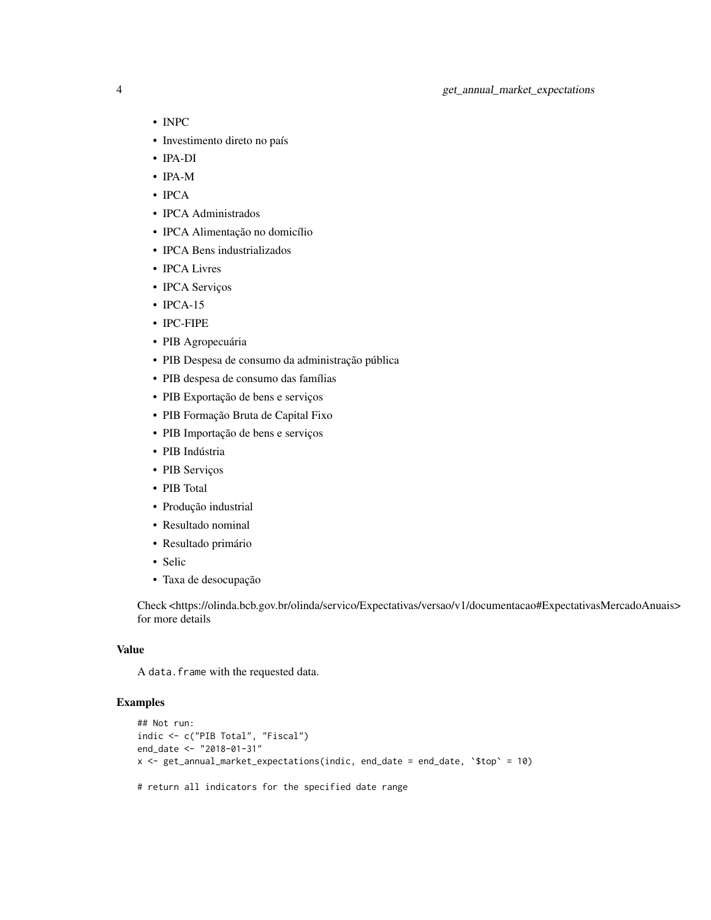- INPC
- Investimento direto no país
- IPA-DI
- IPA-M
- IPCA
- IPCA Administrados
- IPCA Alimentação no domicílio
- IPCA Bens industrializados
- IPCA Livres
- IPCA Serviços
- IPCA-15
- IPC-FIPE
- PIB Agropecuária
- PIB Despesa de consumo da administração pública
- PIB despesa de consumo das famílias
- PIB Exportação de bens e serviços
- PIB Formação Bruta de Capital Fixo
- PIB Importação de bens e serviços
- PIB Indústria
- PIB Serviços
- PIB Total
- Produção industrial
- Resultado nominal
- Resultado primário
- Selic
- Taxa de desocupação

Check <https://olinda.bcb.gov.br/olinda/servico/Expectativas/versao/v1/documentacao#ExpectativasMercadoAnuais> for more details

#### Value

A data. frame with the requested data.

```
## Not run:
indic <- c("PIB Total", "Fiscal")
end_date <- "2018-01-31"
x <- get_annual_market_expectations(indic, end_date = end_date, '$top' = 10)
# return all indicators for the specified date range
```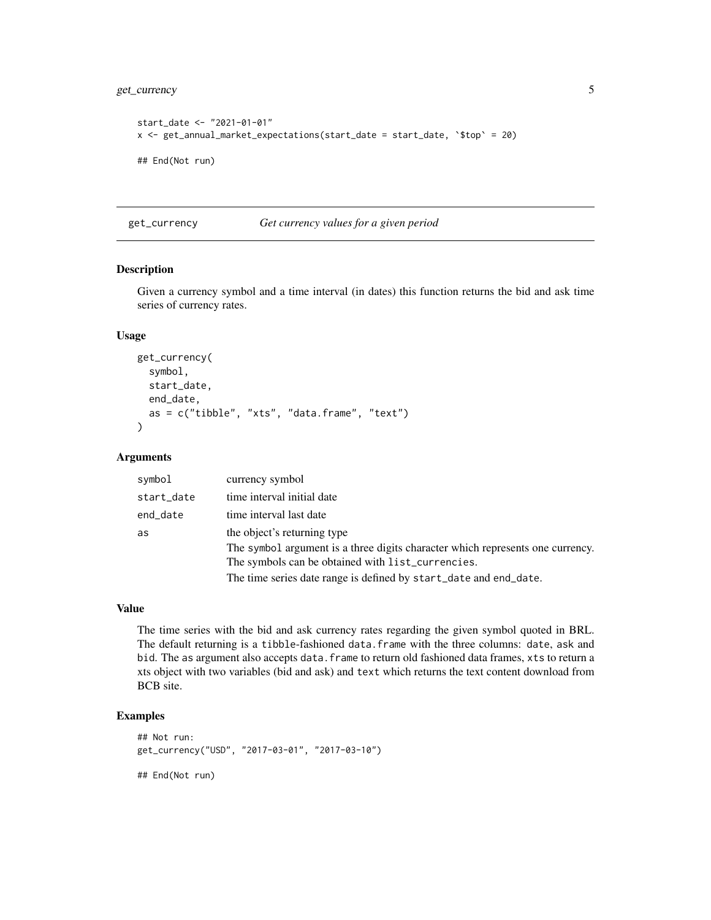```
start_date <- "2021-01-01"
x \le get_annual_market_expectations(start_date = start_date, `$top` = 20)
## End(Not run)
```
get\_currency *Get currency values for a given period*

#### Description

Given a currency symbol and a time interval (in dates) this function returns the bid and ask time series of currency rates.

#### Usage

```
get_currency(
  symbol,
  start_date,
  end_date,
  as = c("tible", "xts", "data-frame", "text")\lambda
```
#### Arguments

| currency symbol                                                                |
|--------------------------------------------------------------------------------|
| time interval initial date                                                     |
| time interval last date                                                        |
| the object's returning type                                                    |
| The symbol argument is a three digits character which represents one currency. |
| The symbols can be obtained with list_currencies.                              |
| The time series date range is defined by start_date and end_date.              |
|                                                                                |

#### Value

The time series with the bid and ask currency rates regarding the given symbol quoted in BRL. The default returning is a tibble-fashioned data.frame with the three columns: date, ask and bid. The as argument also accepts data. frame to return old fashioned data frames, xts to return a xts object with two variables (bid and ask) and text which returns the text content download from BCB site.

```
## Not run:
get_currency("USD", "2017-03-01", "2017-03-10")
## End(Not run)
```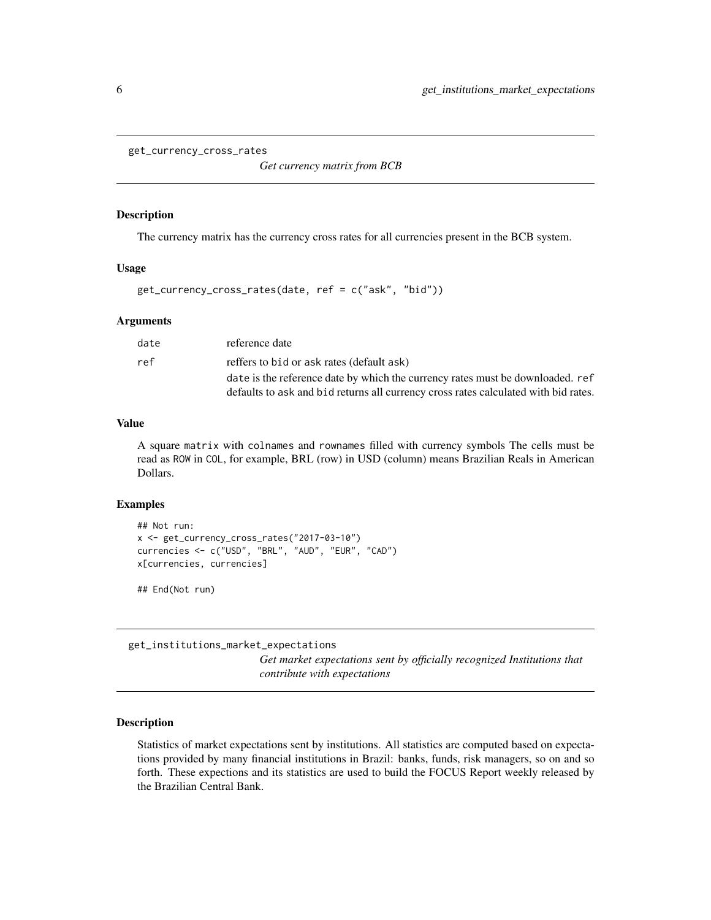<span id="page-5-0"></span>get\_currency\_cross\_rates

*Get currency matrix from BCB*

#### Description

The currency matrix has the currency cross rates for all currencies present in the BCB system.

#### Usage

get\_currency\_cross\_rates(date, ref = c("ask", "bid"))

#### Arguments

| date | reference date                                                                      |
|------|-------------------------------------------------------------------------------------|
| ref  | reffers to bid or ask rates (default ask)                                           |
|      | date is the reference date by which the currency rates must be downloaded. ref      |
|      | defaults to ask and bid returns all currency cross rates calculated with bid rates. |

#### Value

A square matrix with colnames and rownames filled with currency symbols The cells must be read as ROW in COL, for example, BRL (row) in USD (column) means Brazilian Reals in American Dollars.

#### Examples

```
## Not run:
x <- get_currency_cross_rates("2017-03-10")
currencies <- c("USD", "BRL", "AUD", "EUR", "CAD")
x[currencies, currencies]
```
## End(Not run)

get\_institutions\_market\_expectations

*Get market expectations sent by officially recognized Institutions that contribute with expectations*

#### Description

Statistics of market expectations sent by institutions. All statistics are computed based on expectations provided by many financial institutions in Brazil: banks, funds, risk managers, so on and so forth. These expections and its statistics are used to build the FOCUS Report weekly released by the Brazilian Central Bank.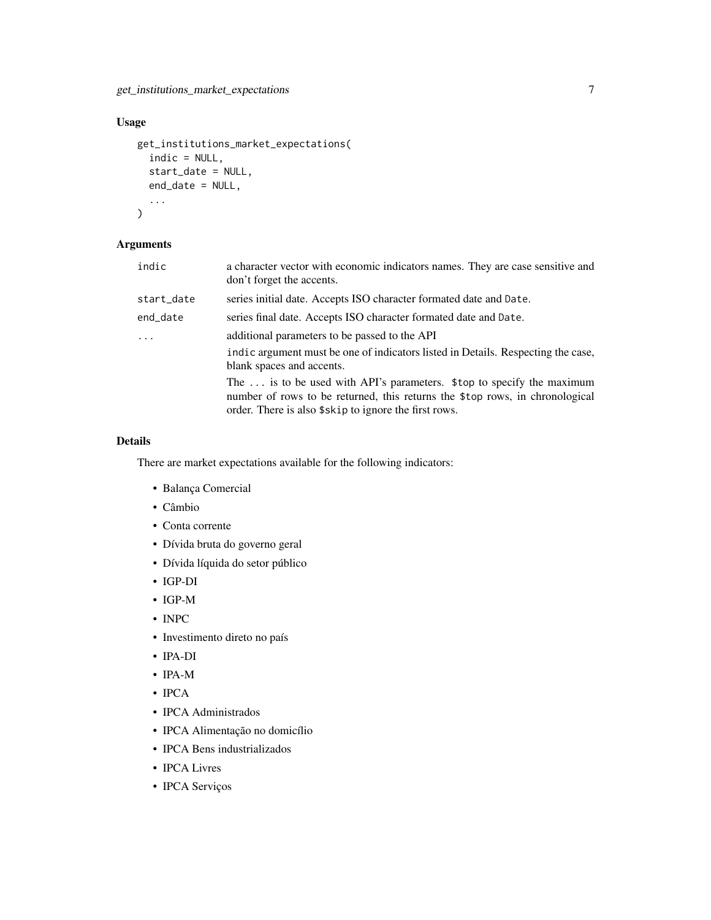get\_institutions\_market\_expectations 7

#### Usage

```
get_institutions_market_expectations(
  indic = NULL,
  start_date = NULL,
  end_date = NULL,
  ...
\mathcal{L}
```
#### Arguments

| indic      | a character vector with economic indicators names. They are case sensitive and<br>don't forget the accents.                                                                                                     |
|------------|-----------------------------------------------------------------------------------------------------------------------------------------------------------------------------------------------------------------|
| start_date | series initial date. Accepts ISO character formated date and Date.                                                                                                                                              |
| end_date   | series final date. Accepts ISO character formated date and Date.                                                                                                                                                |
| $\ddots$   | additional parameters to be passed to the API                                                                                                                                                                   |
|            | indic argument must be one of indicators listed in Details. Respecting the case,<br>blank spaces and accents.                                                                                                   |
|            | The  is to be used with API's parameters. \$top to specify the maximum<br>number of rows to be returned, this returns the \$top rows, in chronological<br>order. There is also \$skip to ignore the first rows. |
|            |                                                                                                                                                                                                                 |

#### Details

There are market expectations available for the following indicators:

- Balança Comercial
- Câmbio
- Conta corrente
- Dívida bruta do governo geral
- Dívida líquida do setor público
- IGP-DI
- IGP-M
- INPC
- Investimento direto no país
- IPA-DI
- IPA-M
- **IPCA**
- IPCA Administrados
- IPCA Alimentação no domicílio
- IPCA Bens industrializados
- IPCA Livres
- IPCA Serviços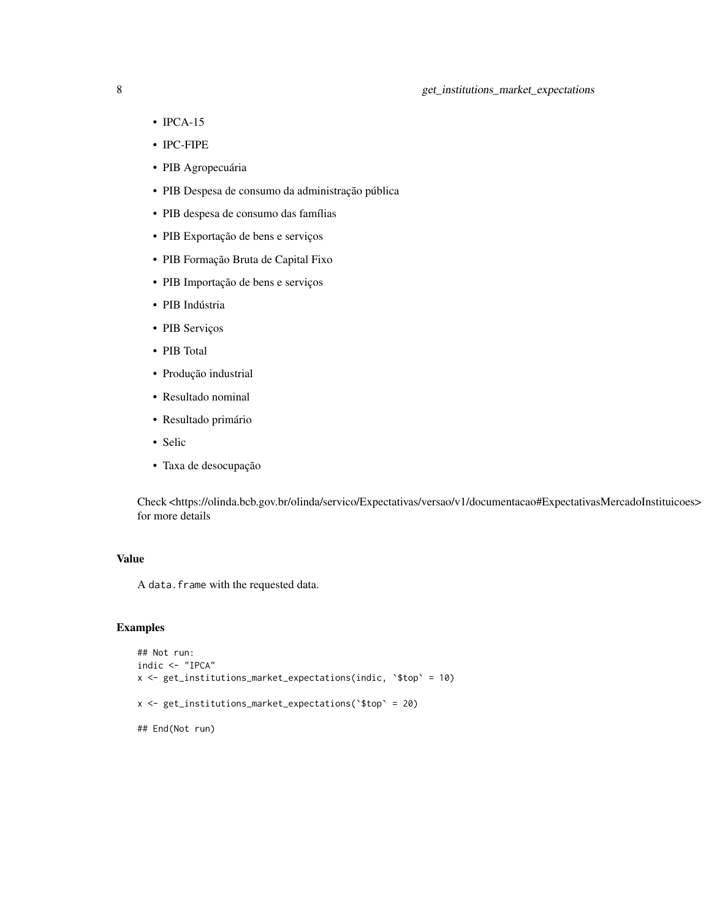#### 8 get\_institutions\_market\_expectations

- IPCA-15
- IPC-FIPE
- PIB Agropecuária
- PIB Despesa de consumo da administração pública
- PIB despesa de consumo das famílias
- PIB Exportação de bens e serviços
- PIB Formação Bruta de Capital Fixo
- PIB Importação de bens e serviços
- PIB Indústria
- PIB Serviços
- PIB Total
- Produção industrial
- Resultado nominal
- Resultado primário
- Selic
- Taxa de desocupação

Check <https://olinda.bcb.gov.br/olinda/servico/Expectativas/versao/v1/documentacao#ExpectativasMercadoInstituicoes> for more details

#### Value

A data.frame with the requested data.

```
## Not run:
indic <- "IPCA"
x <- get_institutions_market_expectations(indic, `$top` = 10)
x <- get_institutions_market_expectations(`$top` = 20)
## End(Not run)
```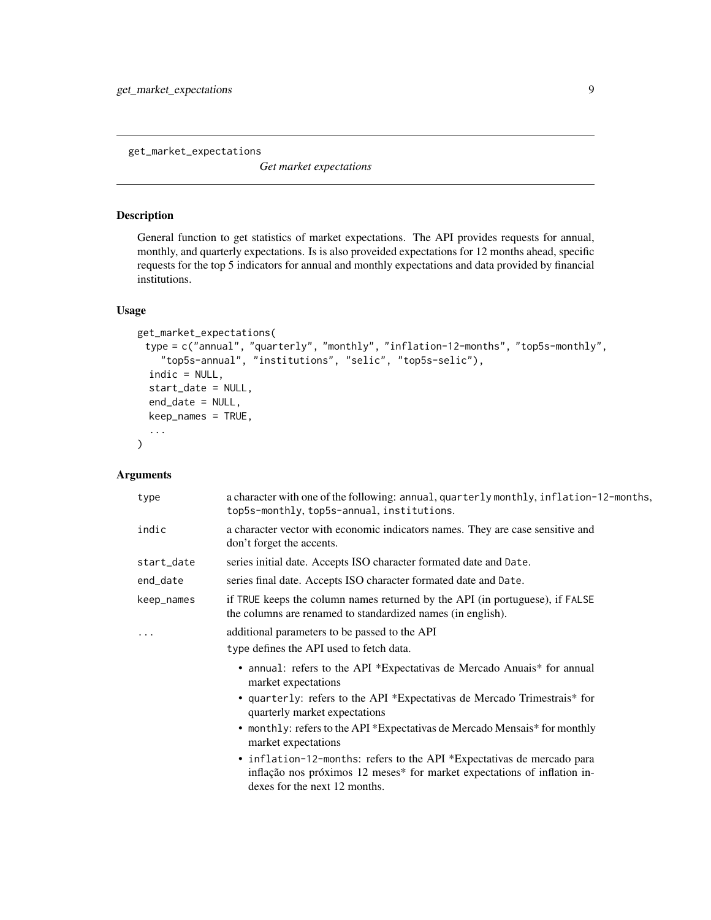<span id="page-8-0"></span>get\_market\_expectations

*Get market expectations*

#### Description

General function to get statistics of market expectations. The API provides requests for annual, monthly, and quarterly expectations. Is is also proveided expectations for 12 months ahead, specific requests for the top 5 indicators for annual and monthly expectations and data provided by financial institutions.

#### Usage

```
get_market_expectations(
 type = c("annual", "quarterly", "monthly", "inflation-12-months", "top5s-monthly",
    "top5s-annual", "institutions", "selic", "top5s-selic"),
  indic = NULL,
  start_date = NULL,
  end_date = NULL,
  keep_names = TRUE,
  ...
\mathcal{L}
```
#### Arguments

| type       | a character with one of the following: annual, quarterly monthly, inflation-12-months,<br>top5s-monthly, top5s-annual, institutions.                                                |
|------------|-------------------------------------------------------------------------------------------------------------------------------------------------------------------------------------|
| indic      | a character vector with economic indicators names. They are case sensitive and<br>don't forget the accents.                                                                         |
| start_date | series initial date. Accepts ISO character formated date and Date.                                                                                                                  |
| end_date   | series final date. Accepts ISO character formated date and Date.                                                                                                                    |
| keep_names | if TRUE keeps the column names returned by the API (in portuguese), if FALSE<br>the columns are renamed to standardized names (in english).                                         |
| $\cdots$   | additional parameters to be passed to the API                                                                                                                                       |
|            | type defines the API used to fetch data.                                                                                                                                            |
|            | • annual: refers to the API *Expectativas de Mercado Anuais * for annual<br>market expectations                                                                                     |
|            | • quarterly: refers to the API *Expectativas de Mercado Trimestrais * for<br>quarterly market expectations                                                                          |
|            | • monthly: refers to the API *Expectativas de Mercado Mensais* for monthly<br>market expectations                                                                                   |
|            | • inflation-12-months: refers to the API *Expectativas de mercado para<br>inflação nos próximos 12 meses* for market expectations of inflation in-<br>dexes for the next 12 months. |
|            |                                                                                                                                                                                     |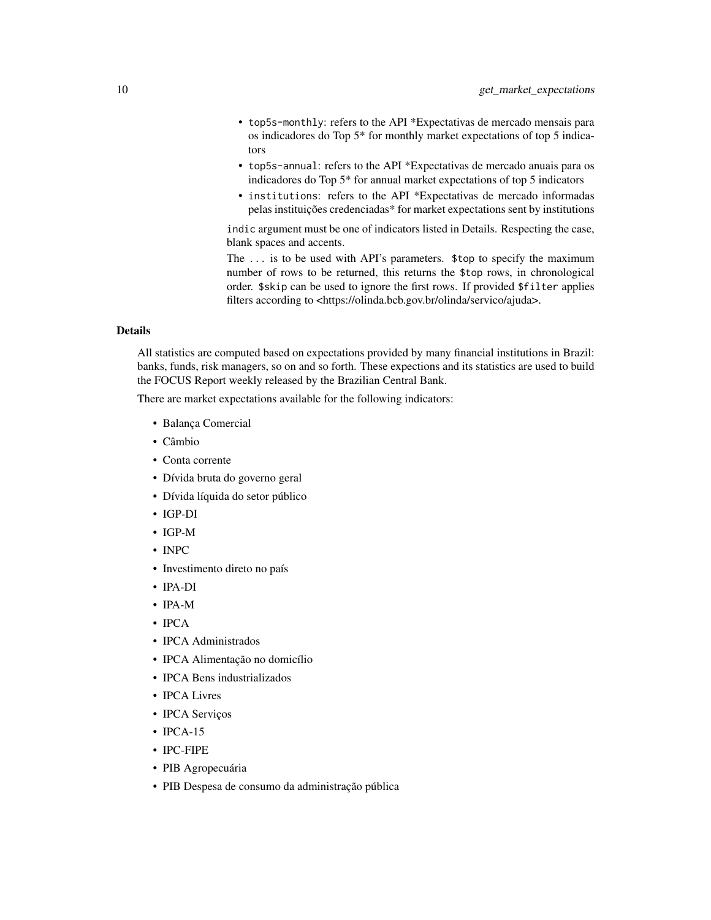- top5s-monthly: refers to the API \*Expectativas de mercado mensais para os indicadores do Top 5\* for monthly market expectations of top 5 indicators
- top5s-annual: refers to the API \*Expectativas de mercado anuais para os indicadores do Top 5\* for annual market expectations of top 5 indicators
- institutions: refers to the API \*Expectativas de mercado informadas pelas instituições credenciadas\* for market expectations sent by institutions

indic argument must be one of indicators listed in Details. Respecting the case, blank spaces and accents.

The ... is to be used with API's parameters. \$top to specify the maximum number of rows to be returned, this returns the \$top rows, in chronological order. \$skip can be used to ignore the first rows. If provided \$filter applies filters according to <https://olinda.bcb.gov.br/olinda/servico/ajuda>.

#### Details

All statistics are computed based on expectations provided by many financial institutions in Brazil: banks, funds, risk managers, so on and so forth. These expections and its statistics are used to build the FOCUS Report weekly released by the Brazilian Central Bank.

There are market expectations available for the following indicators:

- Balança Comercial
- Câmbio
- Conta corrente
- Dívida bruta do governo geral
- Dívida líquida do setor público
- IGP-DI
- IGP-M
- INPC
- Investimento direto no país
- IPA-DI
- IPA-M
- IPCA
- IPCA Administrados
- IPCA Alimentação no domicílio
- IPCA Bens industrializados
- IPCA Livres
- IPCA Serviços
- **IPCA-15**
- IPC-FIPE
- PIB Agropecuária
- PIB Despesa de consumo da administração pública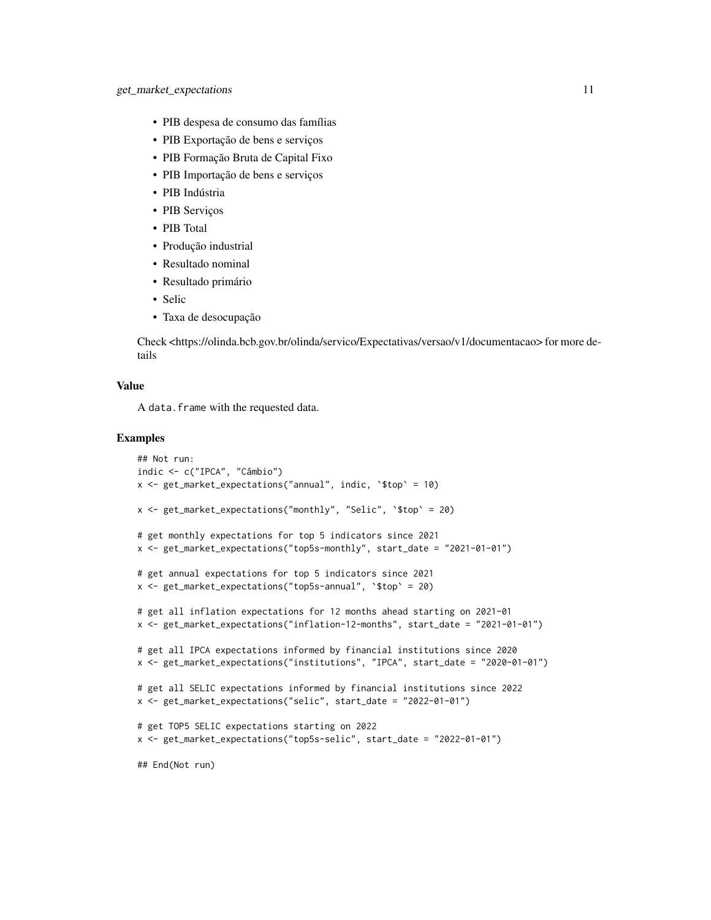- PIB despesa de consumo das famílias
- PIB Exportação de bens e serviços
- PIB Formação Bruta de Capital Fixo
- PIB Importação de bens e serviços
- PIB Indústria
- PIB Serviços
- PIB Total
- Produção industrial
- Resultado nominal
- Resultado primário
- Selic
- Taxa de desocupação

Check <https://olinda.bcb.gov.br/olinda/servico/Expectativas/versao/v1/documentacao> for more details

#### Value

A data. frame with the requested data.

```
## Not run:
indic <- c("IPCA", "Câmbio")
x <- get_market_expectations("annual", indic, `$top` = 10)
x <- get_market_expectations("monthly", "Selic", `$top` = 20)
# get monthly expectations for top 5 indicators since 2021
x <- get_market_expectations("top5s-monthly", start_date = "2021-01-01")
# get annual expectations for top 5 indicators since 2021
x <- get_market_expectations("top5s-annual", `$top` = 20)
# get all inflation expectations for 12 months ahead starting on 2021-01
x <- get_market_expectations("inflation-12-months", start_date = "2021-01-01")
# get all IPCA expectations informed by financial institutions since 2020
x <- get_market_expectations("institutions", "IPCA", start_date = "2020-01-01")
# get all SELIC expectations informed by financial institutions since 2022
x <- get_market_expectations("selic", start_date = "2022-01-01")
# get TOP5 SELIC expectations starting on 2022
x <- get_market_expectations("top5s-selic", start_date = "2022-01-01")
## End(Not run)
```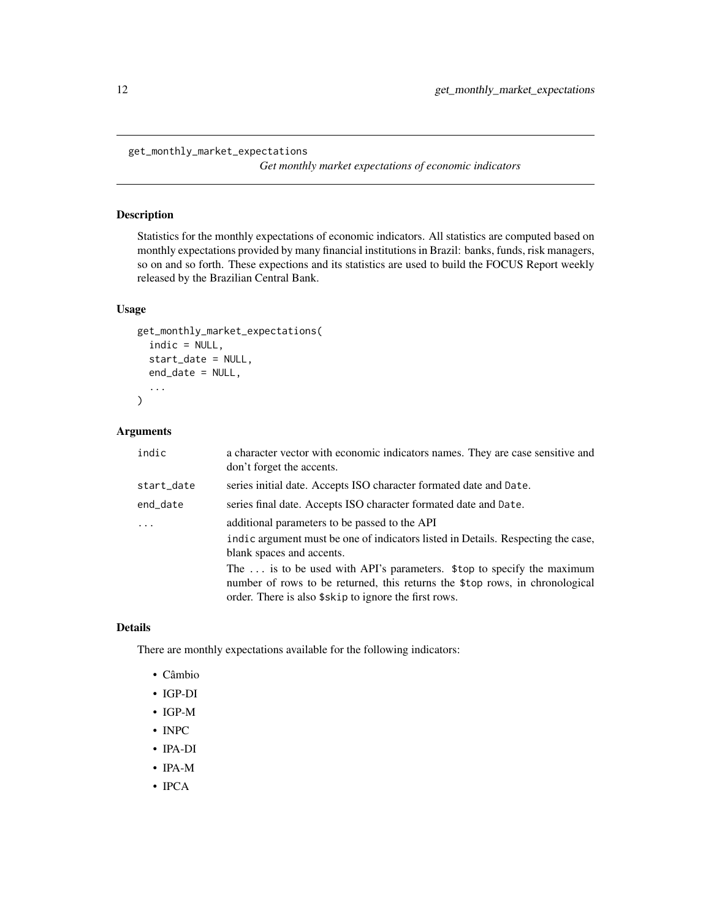<span id="page-11-0"></span>get\_monthly\_market\_expectations

*Get monthly market expectations of economic indicators*

#### Description

Statistics for the monthly expectations of economic indicators. All statistics are computed based on monthly expectations provided by many financial institutions in Brazil: banks, funds, risk managers, so on and so forth. These expections and its statistics are used to build the FOCUS Report weekly released by the Brazilian Central Bank.

#### Usage

```
get_monthly_market_expectations(
  indic = NULL,
  start_date = NULL,
  end_date = NULL,
  ...
)
```
#### Arguments

| indic      | a character vector with economic indicators names. They are case sensitive and<br>don't forget the accents.                                                                                                     |
|------------|-----------------------------------------------------------------------------------------------------------------------------------------------------------------------------------------------------------------|
| start_date | series initial date. Accepts ISO character formated date and Date.                                                                                                                                              |
| end_date   | series final date. Accepts ISO character formated date and Date.                                                                                                                                                |
|            | additional parameters to be passed to the API                                                                                                                                                                   |
|            | indic argument must be one of indicators listed in Details. Respecting the case,<br>blank spaces and accents.                                                                                                   |
|            | The  is to be used with API's parameters. \$top to specify the maximum<br>number of rows to be returned, this returns the \$top rows, in chronological<br>order. There is also \$skip to ignore the first rows. |

#### Details

There are monthly expectations available for the following indicators:

- Câmbio
- IGP-DI
- IGP-M
- INPC
- IPA-DI
- IPA-M
- IPCA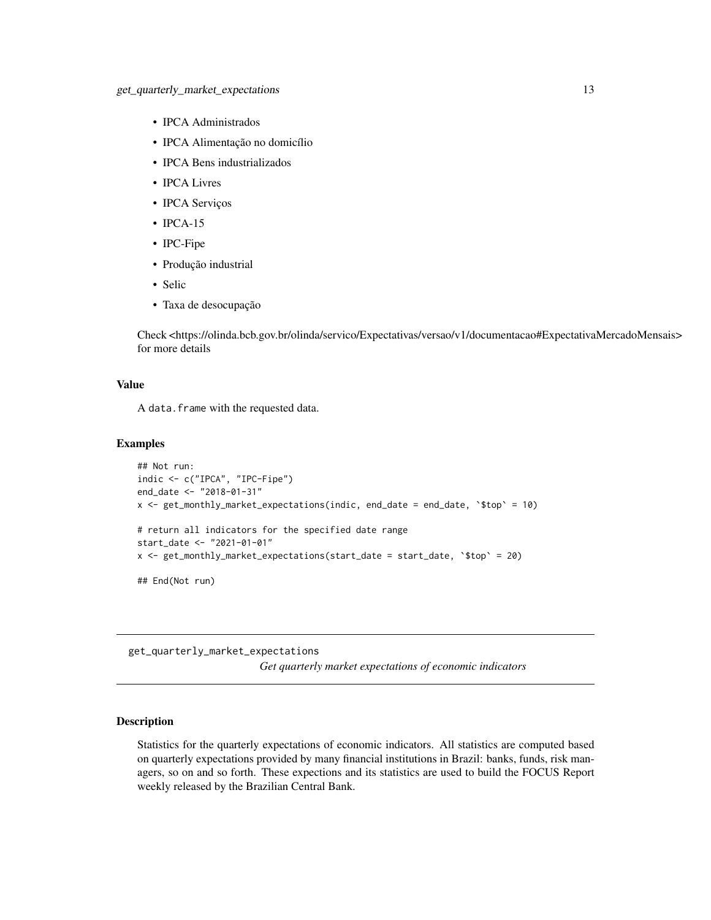- <span id="page-12-0"></span>• IPCA Administrados
- IPCA Alimentação no domicílio
- IPCA Bens industrializados
- IPCA Livres
- IPCA Serviços
- IPCA-15
- IPC-Fipe
- Produção industrial
- Selic
- Taxa de desocupação

Check <https://olinda.bcb.gov.br/olinda/servico/Expectativas/versao/v1/documentacao#ExpectativaMercadoMensais> for more details

#### Value

A data. frame with the requested data.

#### Examples

```
## Not run:
indic <- c("IPCA", "IPC-Fipe")
end_date <- "2018-01-31"
x <- get_monthly_market_expectations(indic, end_date = end_date, `$top` = 10)
# return all indicators for the specified date range
start_date <- "2021-01-01"
x <- get_monthly_market_expectations(start_date = start_date, '$top' = 20)
## End(Not run)
```
get\_quarterly\_market\_expectations *Get quarterly market expectations of economic indicators*

#### Description

Statistics for the quarterly expectations of economic indicators. All statistics are computed based on quarterly expectations provided by many financial institutions in Brazil: banks, funds, risk managers, so on and so forth. These expections and its statistics are used to build the FOCUS Report weekly released by the Brazilian Central Bank.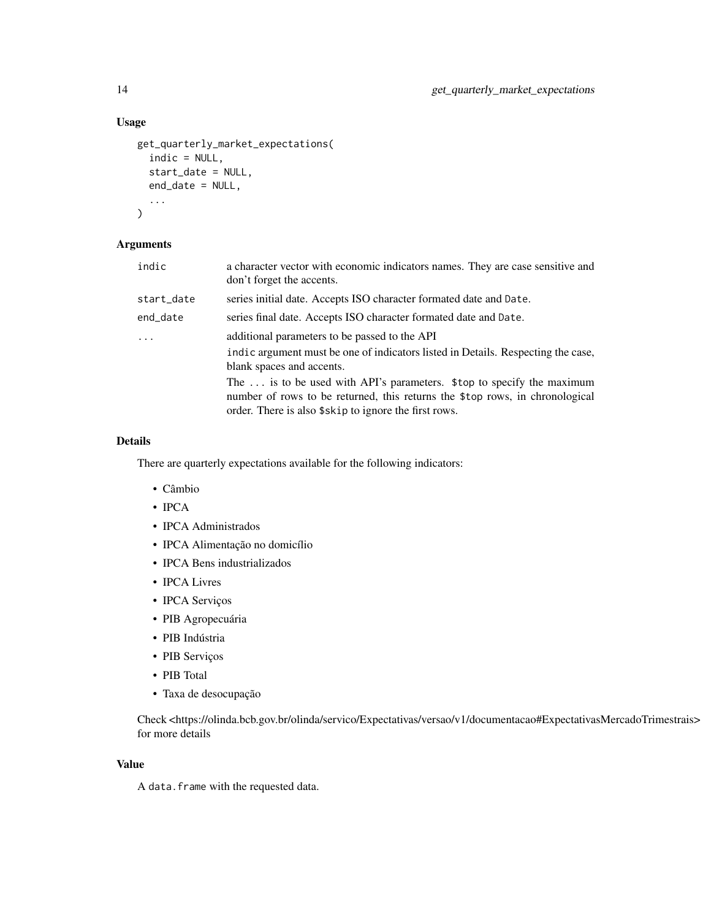#### Usage

```
get_quarterly_market_expectations(
  indic = NULL,
  start_date = NULL,
  end_date = NULL,
  ...
\mathcal{L}
```
#### Arguments

| start_date<br>series initial date. Accepts ISO character formated date and Date.<br>end_date<br>series final date. Accepts ISO character formated date and Date.<br>additional parameters to be passed to the API<br>$\cdots$<br>blank spaces and accents. | indic | a character vector with economic indicators names. They are case sensitive and<br>don't forget the accents.                                                                                                     |
|------------------------------------------------------------------------------------------------------------------------------------------------------------------------------------------------------------------------------------------------------------|-------|-----------------------------------------------------------------------------------------------------------------------------------------------------------------------------------------------------------------|
|                                                                                                                                                                                                                                                            |       |                                                                                                                                                                                                                 |
|                                                                                                                                                                                                                                                            |       |                                                                                                                                                                                                                 |
|                                                                                                                                                                                                                                                            |       |                                                                                                                                                                                                                 |
|                                                                                                                                                                                                                                                            |       | indic argument must be one of indicators listed in Details. Respecting the case,                                                                                                                                |
|                                                                                                                                                                                                                                                            |       | The  is to be used with API's parameters. \$top to specify the maximum<br>number of rows to be returned, this returns the \$top rows, in chronological<br>order. There is also \$skip to ignore the first rows. |

#### Details

There are quarterly expectations available for the following indicators:

- Câmbio
- IPCA
- IPCA Administrados
- IPCA Alimentação no domicílio
- IPCA Bens industrializados
- IPCA Livres
- IPCA Serviços
- PIB Agropecuária
- PIB Indústria
- PIB Serviços
- PIB Total
- Taxa de desocupação

Check <https://olinda.bcb.gov.br/olinda/servico/Expectativas/versao/v1/documentacao#ExpectativasMercadoTrimestrais> for more details

#### Value

A data. frame with the requested data.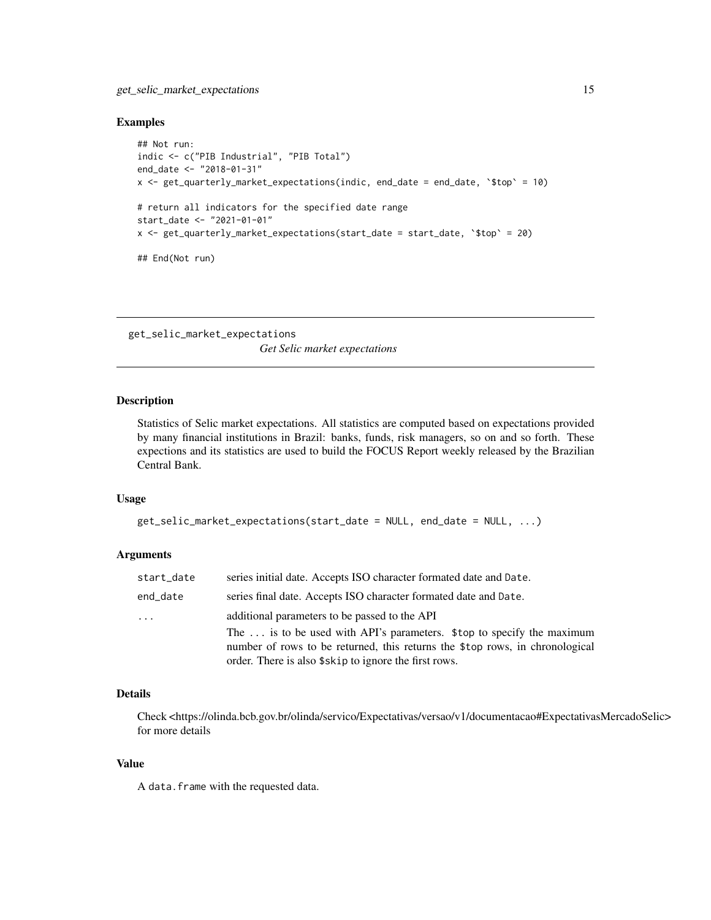#### <span id="page-14-0"></span>get\_selic\_market\_expectations 15

#### Examples

```
## Not run:
indic <- c("PIB Industrial", "PIB Total")
end_date <- "2018-01-31"
x <- get_quarterly_market_expectations(indic, end_date = end_date, `$top` = 10)
# return all indicators for the specified date range
start_date <- "2021-01-01"
x <- get_quarterly_market_expectations(start_date = start_date, `$top` = 20)
## End(Not run)
```
get\_selic\_market\_expectations *Get Selic market expectations*

#### Description

Statistics of Selic market expectations. All statistics are computed based on expectations provided by many financial institutions in Brazil: banks, funds, risk managers, so on and so forth. These expections and its statistics are used to build the FOCUS Report weekly released by the Brazilian Central Bank.

#### Usage

```
get_selic_market_expectations(start_date = NULL, end_date = NULL, ...)
```
#### Arguments

| start_date | series initial date. Accepts ISO character formated date and Date.                                                                                                                                              |
|------------|-----------------------------------------------------------------------------------------------------------------------------------------------------------------------------------------------------------------|
| end_date   | series final date. Accepts ISO character formated date and Date.                                                                                                                                                |
| $\cdots$   | additional parameters to be passed to the API                                                                                                                                                                   |
|            | The  is to be used with API's parameters. \$top to specify the maximum<br>number of rows to be returned, this returns the \$top rows, in chronological<br>order. There is also \$skip to ignore the first rows. |

#### Details

Check <https://olinda.bcb.gov.br/olinda/servico/Expectativas/versao/v1/documentacao#ExpectativasMercadoSelic> for more details

#### Value

A data. frame with the requested data.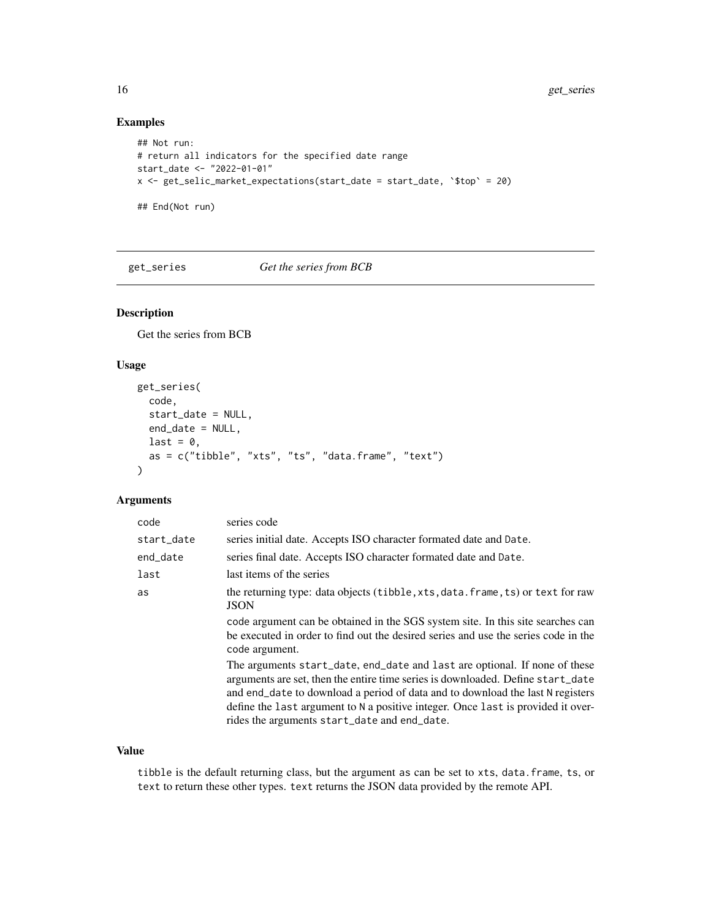#### Examples

```
## Not run:
# return all indicators for the specified date range
start_date <- "2022-01-01"
x <- get_selic_market_expectations(start_date = start_date, `$top` = 20)
## End(Not run)
```
get\_series *Get the series from BCB*

#### Description

Get the series from BCB

#### Usage

```
get_series(
 code,
  start_date = NULL,
  end_date = NULL,
 last = \theta,
  as = c("tibble", "xts", "ts", "data.frame", "text")
)
```
#### Arguments

| code       | series code                                                                                                                                                                                                                                                                                                                                                                         |
|------------|-------------------------------------------------------------------------------------------------------------------------------------------------------------------------------------------------------------------------------------------------------------------------------------------------------------------------------------------------------------------------------------|
| start_date | series initial date. Accepts ISO character formated date and Date.                                                                                                                                                                                                                                                                                                                  |
| end_date   | series final date. Accepts ISO character formated date and Date.                                                                                                                                                                                                                                                                                                                    |
| last       | last items of the series                                                                                                                                                                                                                                                                                                                                                            |
| as         | the returning type: data objects (tibble, xts, data. frame, ts) or text for raw<br><b>JSON</b>                                                                                                                                                                                                                                                                                      |
|            | code argument can be obtained in the SGS system site. In this site searches can<br>be executed in order to find out the desired series and use the series code in the<br>code argument.                                                                                                                                                                                             |
|            | The arguments start_date, end_date and last are optional. If none of these<br>arguments are set, then the entire time series is downloaded. Define start_date<br>and end_date to download a period of data and to download the last N registers<br>define the last argument to N a positive integer. Once last is provided it over-<br>rides the arguments start_date and end_date. |

#### Value

tibble is the default returning class, but the argument as can be set to xts, data.frame, ts, or text to return these other types. text returns the JSON data provided by the remote API.

<span id="page-15-0"></span>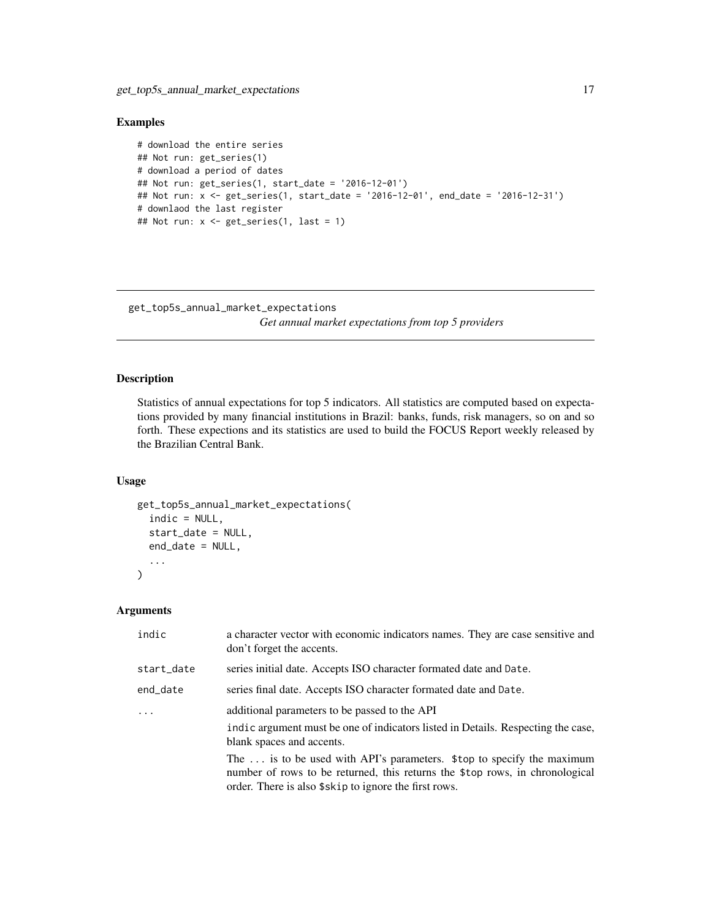#### <span id="page-16-0"></span>Examples

```
# download the entire series
## Not run: get_series(1)
# download a period of dates
## Not run: get_series(1, start_date = '2016-12-01')
## Not run: x <- get_series(1, start_date = '2016-12-01', end_date = '2016-12-31')
# downlaod the last register
## Not run: x <- get_series(1, last = 1)
```
get\_top5s\_annual\_market\_expectations

*Get annual market expectations from top 5 providers*

#### Description

Statistics of annual expectations for top 5 indicators. All statistics are computed based on expectations provided by many financial institutions in Brazil: banks, funds, risk managers, so on and so forth. These expections and its statistics are used to build the FOCUS Report weekly released by the Brazilian Central Bank.

#### Usage

```
get_top5s_annual_market_expectations(
  indic = NULL,
  start_date = NULL,
  end_date = NULL,
  ...
\mathcal{L}
```
#### Arguments

| indic      | a character vector with economic indicators names. They are case sensitive and<br>don't forget the accents.                                                                                                     |
|------------|-----------------------------------------------------------------------------------------------------------------------------------------------------------------------------------------------------------------|
| start_date | series initial date. Accepts ISO character formated date and Date.                                                                                                                                              |
| end_date   | series final date. Accepts ISO character formated date and Date.                                                                                                                                                |
|            | additional parameters to be passed to the API                                                                                                                                                                   |
|            | indic argument must be one of indicators listed in Details. Respecting the case,<br>blank spaces and accents.                                                                                                   |
|            | The  is to be used with API's parameters. \$top to specify the maximum<br>number of rows to be returned, this returns the \$top rows, in chronological<br>order. There is also \$skip to ignore the first rows. |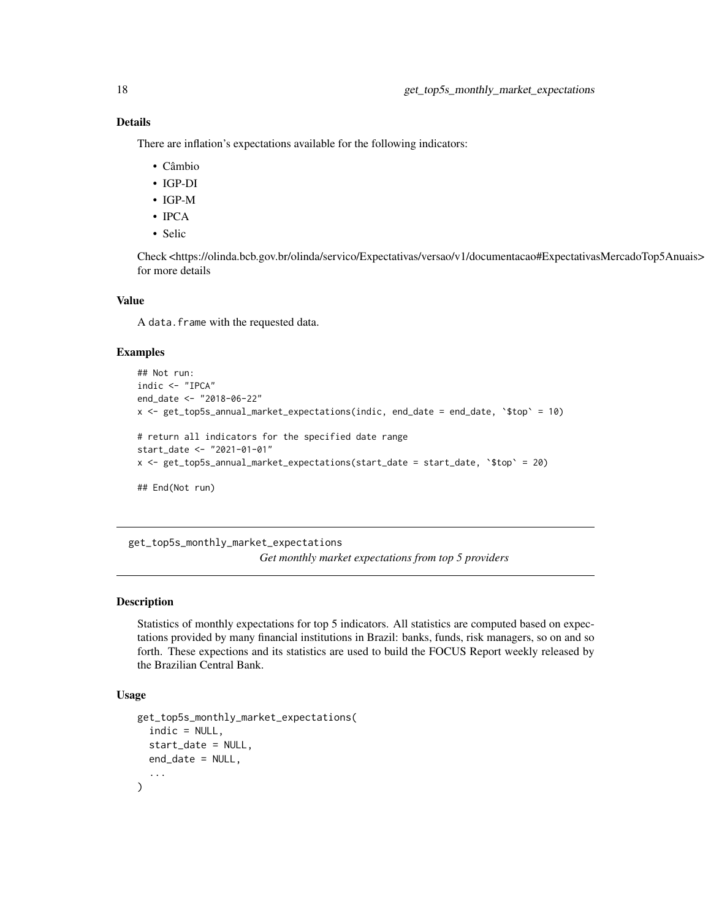There are inflation's expectations available for the following indicators:

- Câmbio
- IGP-DI
- IGP-M
- IPCA
- Selic

Check <https://olinda.bcb.gov.br/olinda/servico/Expectativas/versao/v1/documentacao#ExpectativasMercadoTop5Anuais> for more details

#### Value

A data. frame with the requested data.

#### Examples

```
## Not run:
indic <- "IPCA"
end_date <- "2018-06-22"
x \leq - get_top5s_annual_market_expectations(indic, end_date = end_date, \sqrt{5}top = 10)
# return all indicators for the specified date range
start_date <- "2021-01-01"
x <- get_top5s_annual_market_expectations(start_date = start_date, `$top` = 20)
## End(Not run)
```
get\_top5s\_monthly\_market\_expectations *Get monthly market expectations from top 5 providers*

#### Description

Statistics of monthly expectations for top 5 indicators. All statistics are computed based on expectations provided by many financial institutions in Brazil: banks, funds, risk managers, so on and so forth. These expections and its statistics are used to build the FOCUS Report weekly released by the Brazilian Central Bank.

#### Usage

```
get_top5s_monthly_market_expectations(
  indic = NULL,
  start_date = NULL,
 end_date = NULL,
  ...
)
```
<span id="page-17-0"></span>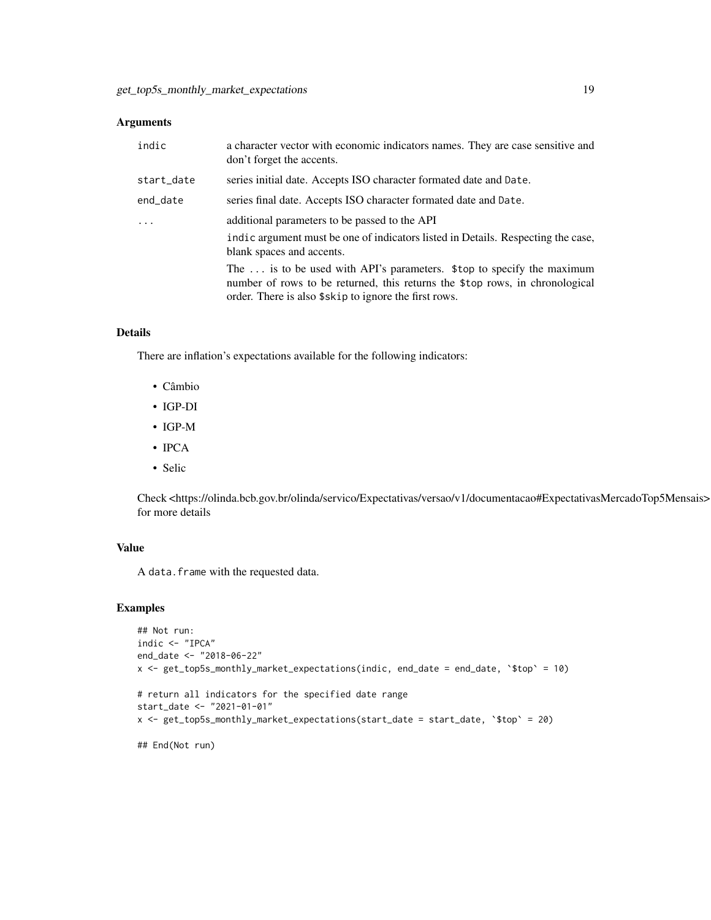#### Arguments

| indic      | a character vector with economic indicators names. They are case sensitive and<br>don't forget the accents.                                                                                                     |
|------------|-----------------------------------------------------------------------------------------------------------------------------------------------------------------------------------------------------------------|
| start_date | series initial date. Accepts ISO character formated date and Date.                                                                                                                                              |
| end_date   | series final date. Accepts ISO character formated date and Date.                                                                                                                                                |
| .          | additional parameters to be passed to the API                                                                                                                                                                   |
|            | indic argument must be one of indicators listed in Details. Respecting the case,<br>blank spaces and accents.                                                                                                   |
|            | The  is to be used with API's parameters. \$top to specify the maximum<br>number of rows to be returned, this returns the \$top rows, in chronological<br>order. There is also \$skip to ignore the first rows. |

### Details

There are inflation's expectations available for the following indicators:

- Câmbio
- IGP-DI
- IGP-M
- IPCA
- Selic

Check <https://olinda.bcb.gov.br/olinda/servico/Expectativas/versao/v1/documentacao#ExpectativasMercadoTop5Mensais> for more details

#### Value

A data. frame with the requested data.

```
## Not run:
indic <- "IPCA"
end_date <- "2018-06-22"
x <- get_top5s_monthly_market_expectations(indic, end_date = end_date, `$top` = 10)
# return all indicators for the specified date range
start_date <- "2021-01-01"
x <- get_top5s_monthly_market_expectations(start_date = start_date, `$top` = 20)
## End(Not run)
```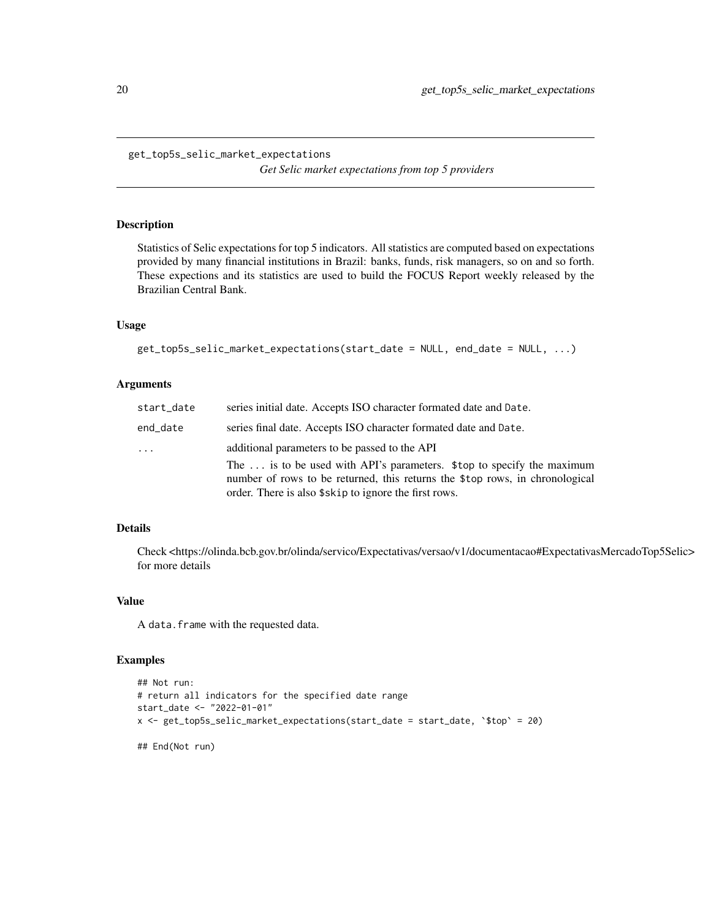*Get Selic market expectations from top 5 providers*

#### <span id="page-19-0"></span>Description

Statistics of Selic expectations for top 5 indicators. All statistics are computed based on expectations provided by many financial institutions in Brazil: banks, funds, risk managers, so on and so forth. These expections and its statistics are used to build the FOCUS Report weekly released by the Brazilian Central Bank.

#### Usage

```
get_top5s_selic_market_expectations(start_date = NULL, end_date = NULL, ...)
```
#### Arguments

| start_date | series initial date. Accepts ISO character formated date and Date.                                                                                                                                              |
|------------|-----------------------------------------------------------------------------------------------------------------------------------------------------------------------------------------------------------------|
| end_date   | series final date. Accepts ISO character formated date and Date.                                                                                                                                                |
| .          | additional parameters to be passed to the API                                                                                                                                                                   |
|            | The  is to be used with API's parameters. \$top to specify the maximum<br>number of rows to be returned, this returns the \$top rows, in chronological<br>order. There is also \$skip to ignore the first rows. |

#### Details

Check <https://olinda.bcb.gov.br/olinda/servico/Expectativas/versao/v1/documentacao#ExpectativasMercadoTop5Selic> for more details

#### Value

A data. frame with the requested data.

```
## Not run:
# return all indicators for the specified date range
start_date <- "2022-01-01"
x <- get_top5s_selic_market_expectations(start_date = start_date, `$top` = 20)
## End(Not run)
```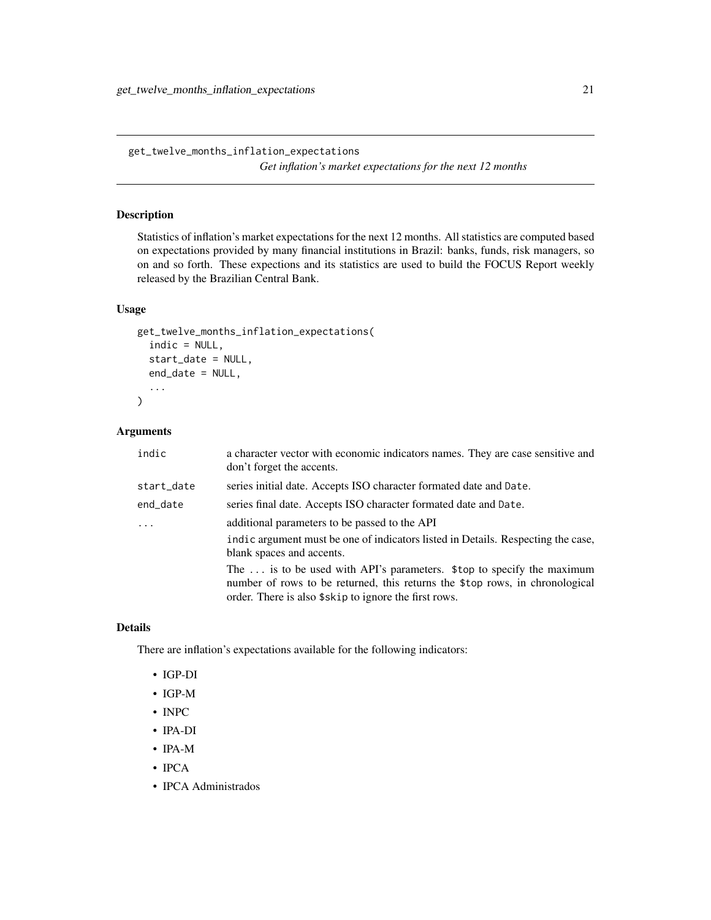<span id="page-20-0"></span>get\_twelve\_months\_inflation\_expectations *Get inflation's market expectations for the next 12 months*

#### Description

Statistics of inflation's market expectations for the next 12 months. All statistics are computed based on expectations provided by many financial institutions in Brazil: banks, funds, risk managers, so on and so forth. These expections and its statistics are used to build the FOCUS Report weekly released by the Brazilian Central Bank.

#### Usage

```
get_twelve_months_inflation_expectations(
  indic = NULL,
  start_date = NULL,
  end_date = NULL,
  ...
)
```
#### Arguments

| indic      | a character vector with economic indicators names. They are case sensitive and<br>don't forget the accents.                                                                                                     |
|------------|-----------------------------------------------------------------------------------------------------------------------------------------------------------------------------------------------------------------|
| start_date | series initial date. Accepts ISO character formated date and Date.                                                                                                                                              |
| end_date   | series final date. Accepts ISO character formated date and Date.                                                                                                                                                |
| .          | additional parameters to be passed to the API                                                                                                                                                                   |
|            | indic argument must be one of indicators listed in Details. Respecting the case,<br>blank spaces and accents.                                                                                                   |
|            | The  is to be used with API's parameters. \$top to specify the maximum<br>number of rows to be returned, this returns the \$top rows, in chronological<br>order. There is also \$skip to ignore the first rows. |

#### Details

There are inflation's expectations available for the following indicators:

- IGP-DI
- IGP-M
- INPC
- IPA-DI
- IPA-M
- IPCA
- IPCA Administrados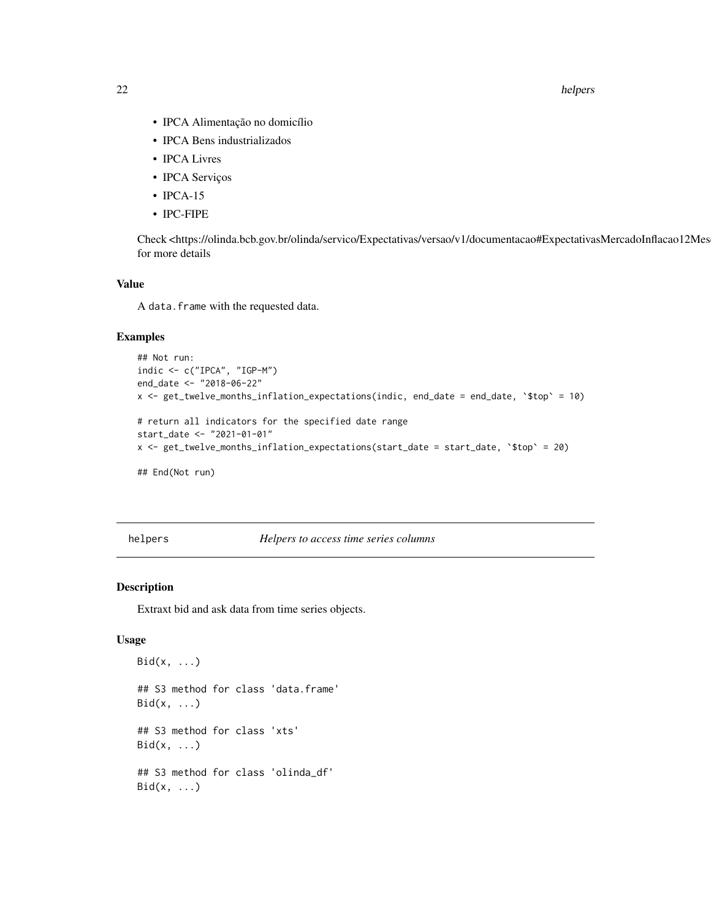<span id="page-21-0"></span>22 helpers and the contract of the contract of the contract of the contract of the contract of the contract of the contract of the contract of the contract of the contract of the contract of the contract of the contract of

- IPCA Alimentação no domicílio
- IPCA Bens industrializados
- IPCA Livres
- IPCA Serviços
- **IPCA-15**
- IPC-FIPE

Check <https://olinda.bcb.gov.br/olinda/servico/Expectativas/versao/v1/documentacao#ExpectativasMercadoInflacao12Meses> for more details

#### Value

A data. frame with the requested data.

#### Examples

```
## Not run:
indic <- c("IPCA", "IGP-M")
end_date <- "2018-06-22"
x <- get_twelve_months_inflation_expectations(indic, end_date = end_date, `$top` = 10)
# return all indicators for the specified date range
start_date <- "2021-01-01"
x <- get_twelve_months_inflation_expectations(start_date = start_date, `$top` = 20)
## End(Not run)
```
helpers *Helpers to access time series columns*

#### Description

Extraxt bid and ask data from time series objects.

#### Usage

```
Bid(x, \ldots)## S3 method for class 'data.frame'
Bid(x, \ldots)## S3 method for class 'xts'
Bid(x, \ldots)## S3 method for class 'olinda_df'
Bid(x, \ldots)
```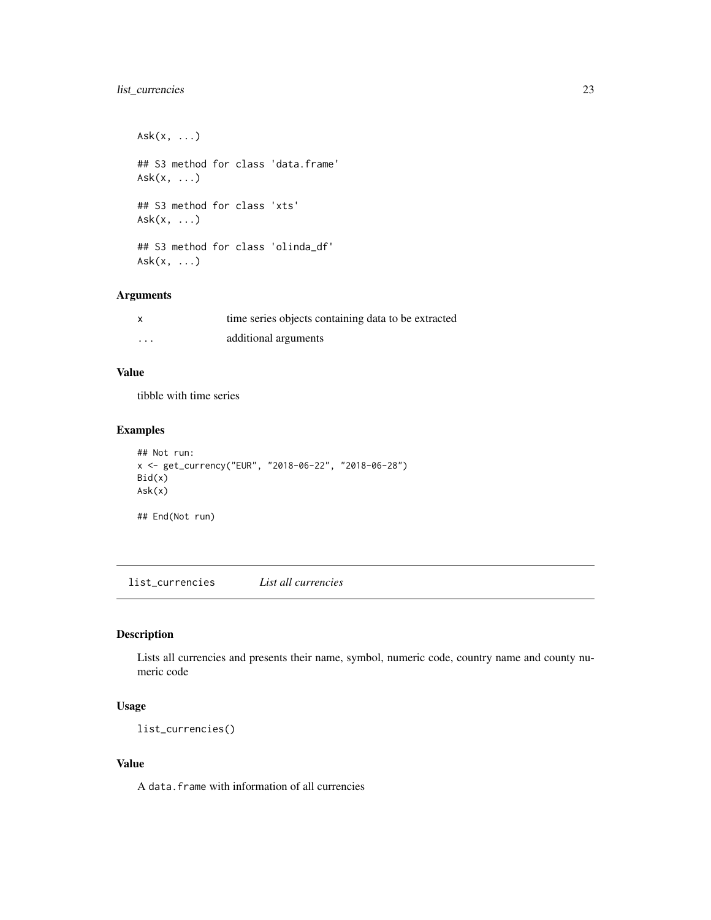#### <span id="page-22-0"></span>list\_currencies 23

 $Ask(x, \ldots)$ ## S3 method for class 'data.frame' Ask(x, ...) ## S3 method for class 'xts' Ask(x, ...) ## S3 method for class 'olinda\_df' Ask(x, ...)

#### Arguments

|   | time series objects containing data to be extracted |
|---|-----------------------------------------------------|
| . | additional arguments                                |

#### Value

tibble with time series

#### Examples

```
## Not run:
x <- get_currency("EUR", "2018-06-22", "2018-06-28")
Bid(x)
Ask(x)
## End(Not run)
```
list\_currencies *List all currencies*

#### Description

Lists all currencies and presents their name, symbol, numeric code, country name and county numeric code

#### Usage

list\_currencies()

#### Value

A data.frame with information of all currencies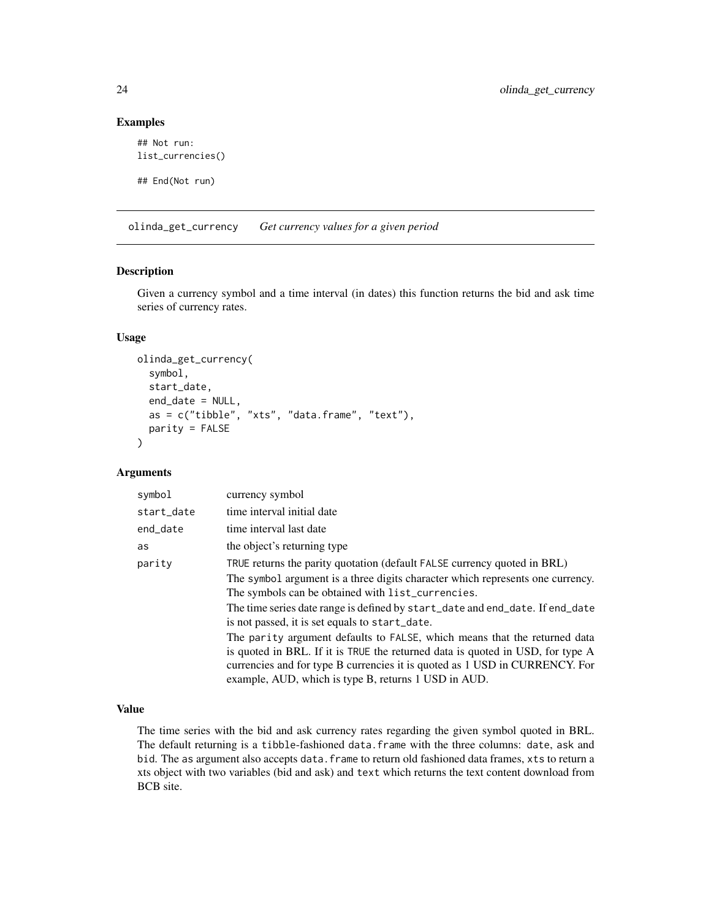#### Examples

```
## Not run:
list_currencies()
## End(Not run)
```
olinda\_get\_currency *Get currency values for a given period*

#### Description

Given a currency symbol and a time interval (in dates) this function returns the bid and ask time series of currency rates.

#### Usage

```
olinda_get_currency(
  symbol,
  start_date,
  end_date = NULL,
  as = c("tible", "xts", "data-frame", "text"),
 parity = FALSE
)
```
#### Arguments

| symbol     | currency symbol                                                                |
|------------|--------------------------------------------------------------------------------|
| start_date | time interval initial date                                                     |
| end_date   | time interval last date                                                        |
| as         | the object's returning type                                                    |
| parity     | TRUE returns the parity quotation (default FALSE currency quoted in BRL)       |
|            | The symbol argument is a three digits character which represents one currency. |
|            | The symbols can be obtained with list_currencies.                              |
|            | The time series date range is defined by start_date and end_date. If end_date  |
|            | is not passed, it is set equals to start_date.                                 |
|            | The parity argument defaults to FALSE, which means that the returned data      |
|            | is quoted in BRL. If it is TRUE the returned data is quoted in USD, for type A |
|            | currencies and for type B currencies it is quoted as 1 USD in CURRENCY. For    |
|            | example, AUD, which is type B, returns 1 USD in AUD.                           |

#### Value

The time series with the bid and ask currency rates regarding the given symbol quoted in BRL. The default returning is a tibble-fashioned data.frame with the three columns: date, ask and bid. The as argument also accepts data. frame to return old fashioned data frames, xts to return a xts object with two variables (bid and ask) and text which returns the text content download from BCB site.

<span id="page-23-0"></span>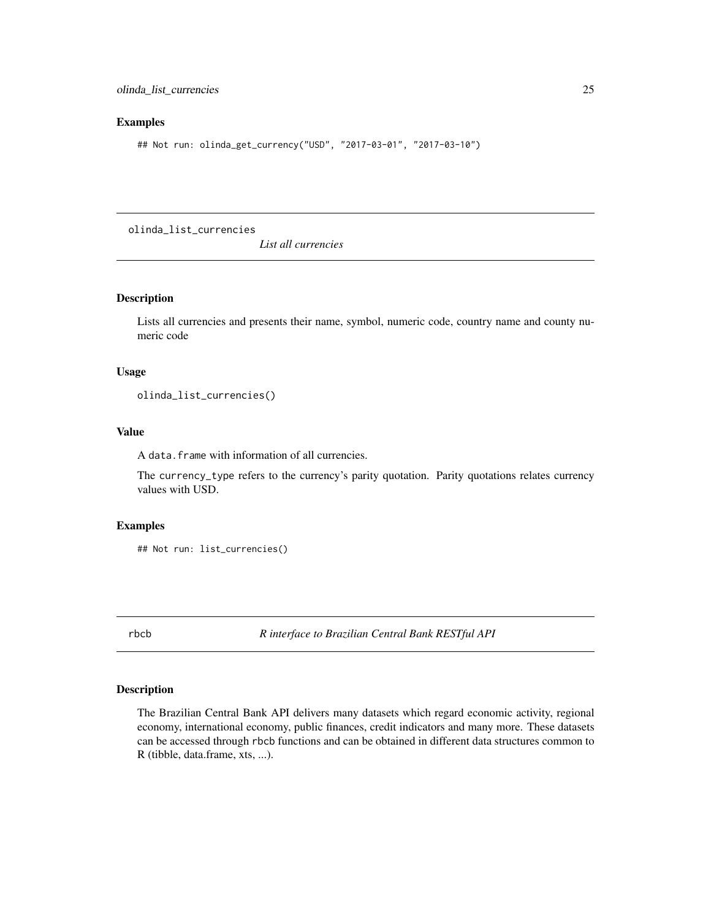#### <span id="page-24-0"></span>Examples

## Not run: olinda\_get\_currency("USD", "2017-03-01", "2017-03-10")

olinda\_list\_currencies

*List all currencies*

#### Description

Lists all currencies and presents their name, symbol, numeric code, country name and county numeric code

#### Usage

olinda\_list\_currencies()

#### Value

A data.frame with information of all currencies.

The currency\_type refers to the currency's parity quotation. Parity quotations relates currency values with USD.

#### Examples

```
## Not run: list_currencies()
```
rbcb *R interface to Brazilian Central Bank RESTful API*

#### Description

The Brazilian Central Bank API delivers many datasets which regard economic activity, regional economy, international economy, public finances, credit indicators and many more. These datasets can be accessed through rbcb functions and can be obtained in different data structures common to R (tibble, data.frame, xts, ...).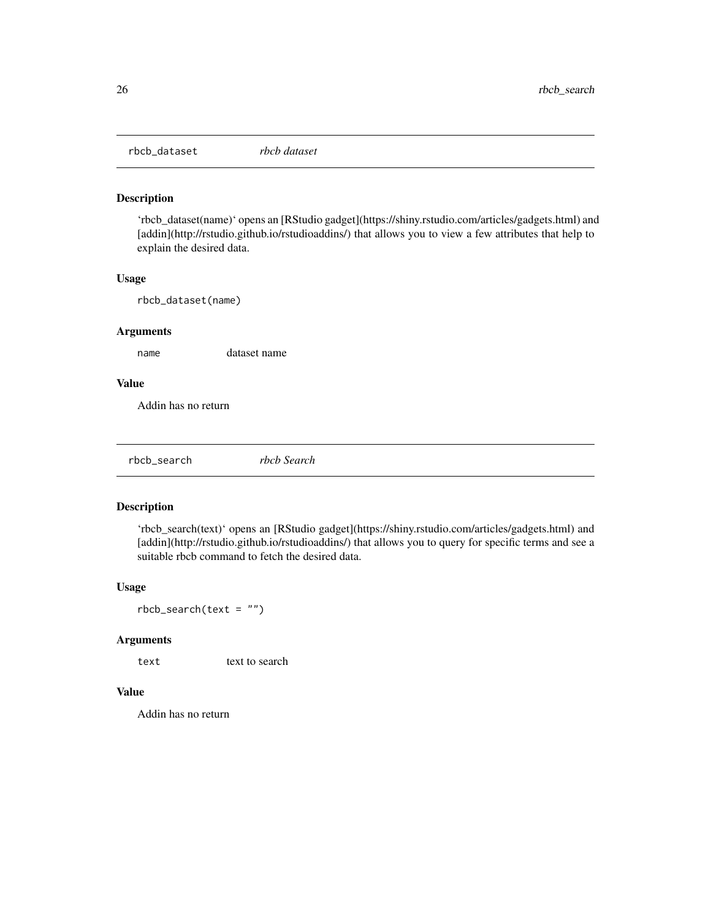<span id="page-25-0"></span>rbcb\_dataset *rbcb dataset*

#### Description

'rbcb\_dataset(name)' opens an [RStudio gadget](https://shiny.rstudio.com/articles/gadgets.html) and [addin](http://rstudio.github.io/rstudioaddins/) that allows you to view a few attributes that help to explain the desired data.

#### Usage

rbcb\_dataset(name)

#### Arguments

name dataset name

#### Value

Addin has no return

rbcb\_search *rbcb Search*

#### Description

'rbcb\_search(text)' opens an [RStudio gadget](https://shiny.rstudio.com/articles/gadgets.html) and [addin](http://rstudio.github.io/rstudioaddins/) that allows you to query for specific terms and see a suitable rbcb command to fetch the desired data.

#### Usage

 $rbcb$ \_search(text = "")

#### Arguments

text text to search

#### Value

Addin has no return